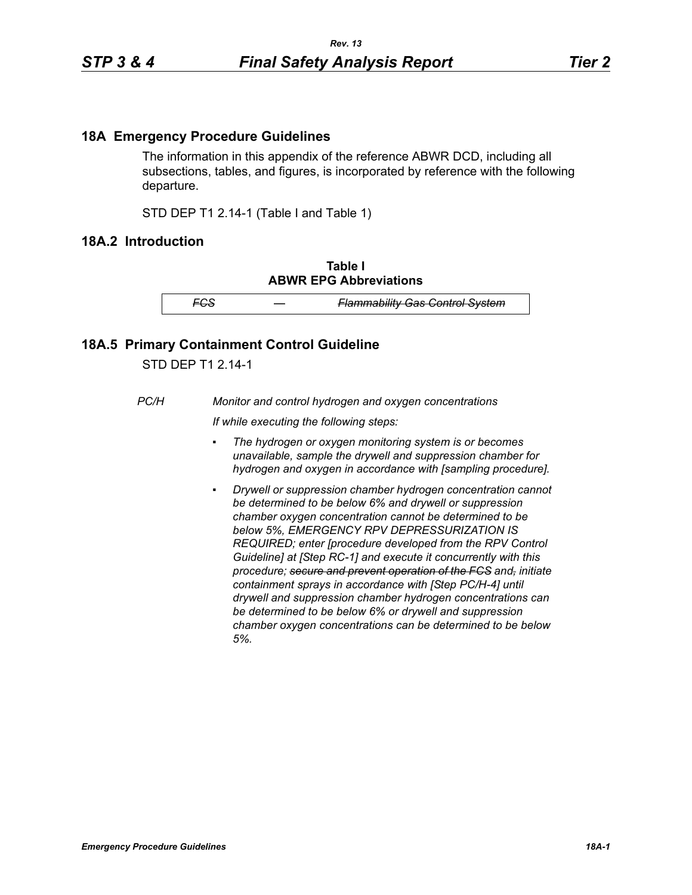## **18A Emergency Procedure Guidelines**

The information in this appendix of the reference ABWR DCD, including all subsections, tables, and figures, is incorporated by reference with the following departure.

STD DEP T1 2.14-1 (Table I and Table 1)

## **18A.2 Introduction**

**Table I ABWR EPG Abbreviations**

*FCS — Flammability Gas Control System*

## **18A.5 Primary Containment Control Guideline**

STD DEP T1 2.14-1

*PC/H Monitor and control hydrogen and oxygen concentrations*

*If while executing the following steps:*

- *▪ The hydrogen or oxygen monitoring system is or becomes unavailable, sample the drywell and suppression chamber for hydrogen and oxygen in accordance with [sampling procedure].*
- *Drywell or suppression chamber hydrogen concentration cannot be determined to be below 6% and drywell or suppression chamber oxygen concentration cannot be determined to be below 5%, EMERGENCY RPV DEPRESSURIZATION IS REQUIRED; enter [procedure developed from the RPV Control Guideline] at [Step RC-1] and execute it concurrently with this procedure; secure and prevent operation of the FCS and, initiate containment sprays in accordance with [Step PC/H-4] until drywell and suppression chamber hydrogen concentrations can be determined to be below 6% or drywell and suppression chamber oxygen concentrations can be determined to be below 5%.*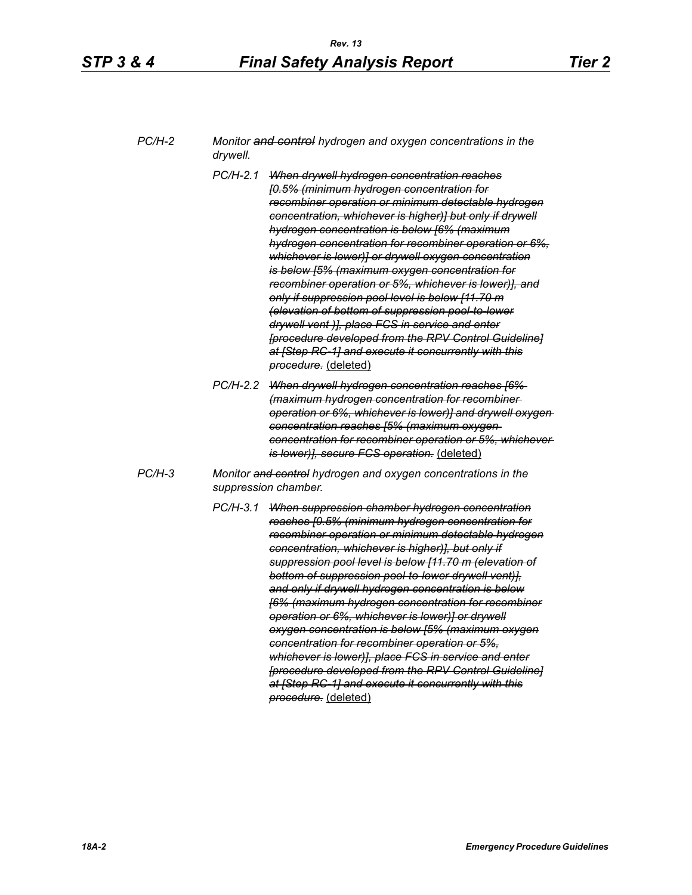| $PC/H-2$ | Monitor and control hydrogen and oxygen concentrations in the |
|----------|---------------------------------------------------------------|
|          | drywell.                                                      |

- *PC/H-2.1 When drywell hydrogen concentration reaches [0.5% (minimum hydrogen concentration for recombiner operation or minimum detectable hydrogen concentration, whichever is higher)] but only if drywell hydrogen concentration is below [6% (maximum hydrogen concentration for recombiner operation or 6%, whichever is lower)] or drywell oxygen concentration is below [5% (maximum oxygen concentration for recombiner operation or 5%, whichever is lower)], and only if suppression pool level is below [11.70 m (elevation of bottom of suppression pool-to-lower drywell vent )], place FCS in service and enter [procedure developed from the RPV Control Guideline] at [Step RC-1] and execute it concurrently with this procedure.* (deleted)
- *PC/H-2.2 When drywell hydrogen concentration reaches [6% (maximum hydrogen concentration for recombiner operation or 6%, whichever is lower)] and drywell oxygen concentration reaches [5% (maximum oxygen concentration for recombiner operation or 5%, whichever is lower)], secure FCS operation.* (deleted)
- *PC/H-3 Monitor and control hydrogen and oxygen concentrations in the suppression chamber.*
	- *PC/H-3.1 When suppression chamber hydrogen concentration reaches [0.5% (minimum hydrogen concentration for recombiner operation or minimum detectable hydrogen concentration, whichever is higher)], but only if suppression pool level is below [11.70 m (elevation of bottom of suppression pool-to-lower drywell vent)], and only if drywell hydrogen concentration is below [6% (maximum hydrogen concentration for recombiner operation or 6%, whichever is lower)] or drywell oxygen concentration is below [5% (maximum oxygen concentration for recombiner operation or 5%, whichever is lower)], place FCS in service and enter [procedure developed from the RPV Control Guideline] at [Step RC-1] and execute it concurrently with this procedure.* (deleted)